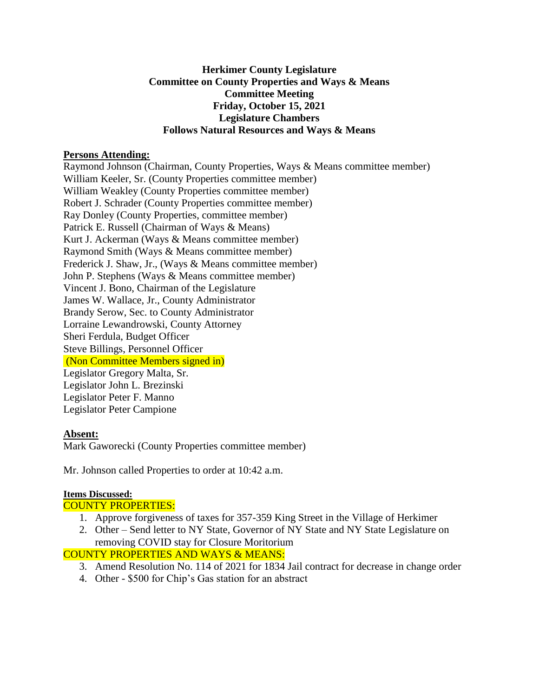#### **Herkimer County Legislature Committee on County Properties and Ways & Means Committee Meeting Friday, October 15, 2021 Legislature Chambers Follows Natural Resources and Ways & Means**

#### **Persons Attending:**

Raymond Johnson (Chairman, County Properties, Ways & Means committee member) William Keeler, Sr. (County Properties committee member) William Weakley (County Properties committee member) Robert J. Schrader (County Properties committee member) Ray Donley (County Properties, committee member) Patrick E. Russell (Chairman of Ways & Means) Kurt J. Ackerman (Ways & Means committee member) Raymond Smith (Ways & Means committee member) Frederick J. Shaw, Jr., (Ways & Means committee member) John P. Stephens (Ways & Means committee member) Vincent J. Bono, Chairman of the Legislature James W. Wallace, Jr., County Administrator Brandy Serow, Sec. to County Administrator Lorraine Lewandrowski, County Attorney Sheri Ferdula, Budget Officer Steve Billings, Personnel Officer (Non Committee Members signed in) Legislator Gregory Malta, Sr. Legislator John L. Brezinski Legislator Peter F. Manno Legislator Peter Campione

## **Absent:**

Mark Gaworecki (County Properties committee member)

Mr. Johnson called Properties to order at 10:42 a.m.

## **Items Discussed:**

## COUNTY PROPERTIES:

- 1. Approve forgiveness of taxes for 357-359 King Street in the Village of Herkimer
- 2. Other Send letter to NY State, Governor of NY State and NY State Legislature on removing COVID stay for Closure Moritorium

## COUNTY PROPERTIES AND WAYS & MEANS:

- 3. Amend Resolution No. 114 of 2021 for 1834 Jail contract for decrease in change order
- 4. Other \$500 for Chip's Gas station for an abstract